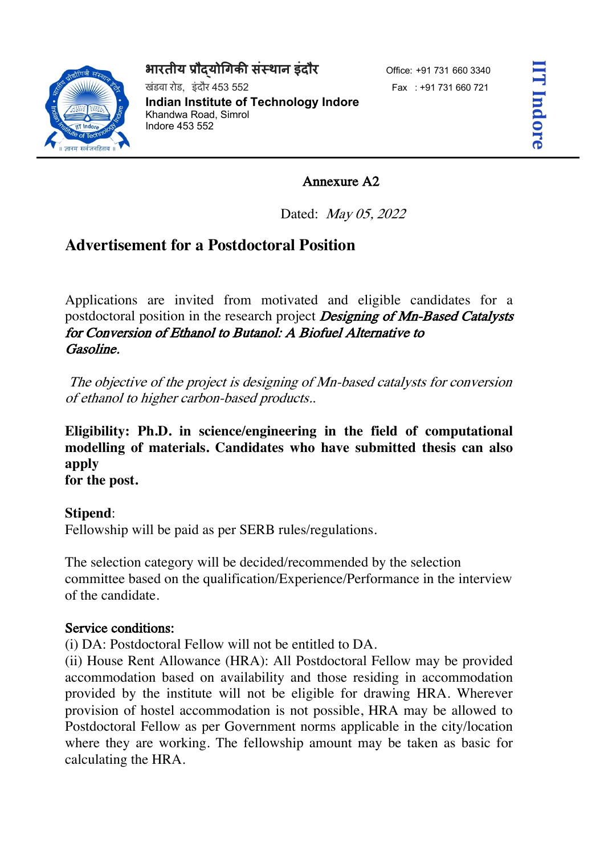## **भारतीय प्रौदयोगिकी संस्थान इंदौर** Office: +91 731 660 3340



खंडवा रोड, डंदौर 453 552 Fax : +91 731 660 721 **Indian Institute of Technology Indore**  Khandwa Road, Simrol Indore 453 552

## Annexure A2

Dated: May 05, 2022

## **Advertisement for a Postdoctoral Position**

Applications are invited from motivated and eligible candidates for a postdoctoral position in the research project Designing of Mn-Based Catalysts for Conversion of Ethanol to Butanol: A Biofuel Alternative to Gasoline.

The objective of the project is designing of Mn-based catalysts for conversion of ethanol to higher carbon-based products..

**Eligibility: Ph.D. in science/engineering in the field of computational modelling of materials. Candidates who have submitted thesis can also apply for the post.**

**Stipend**:

Fellowship will be paid as per SERB rules/regulations.

The selection category will be decided/recommended by the selection committee based on the qualification/Experience/Performance in the interview of the candidate.

## Service conditions:

(i) DA: Postdoctoral Fellow will not be entitled to DA.

(ii) House Rent Allowance (HRA): All Postdoctoral Fellow may be provided accommodation based on availability and those residing in accommodation provided by the institute will not be eligible for drawing HRA. Wherever provision of hostel accommodation is not possible, HRA may be allowed to Postdoctoral Fellow as per Government norms applicable in the city/location where they are working. The fellowship amount may be taken as basic for calculating the HRA.